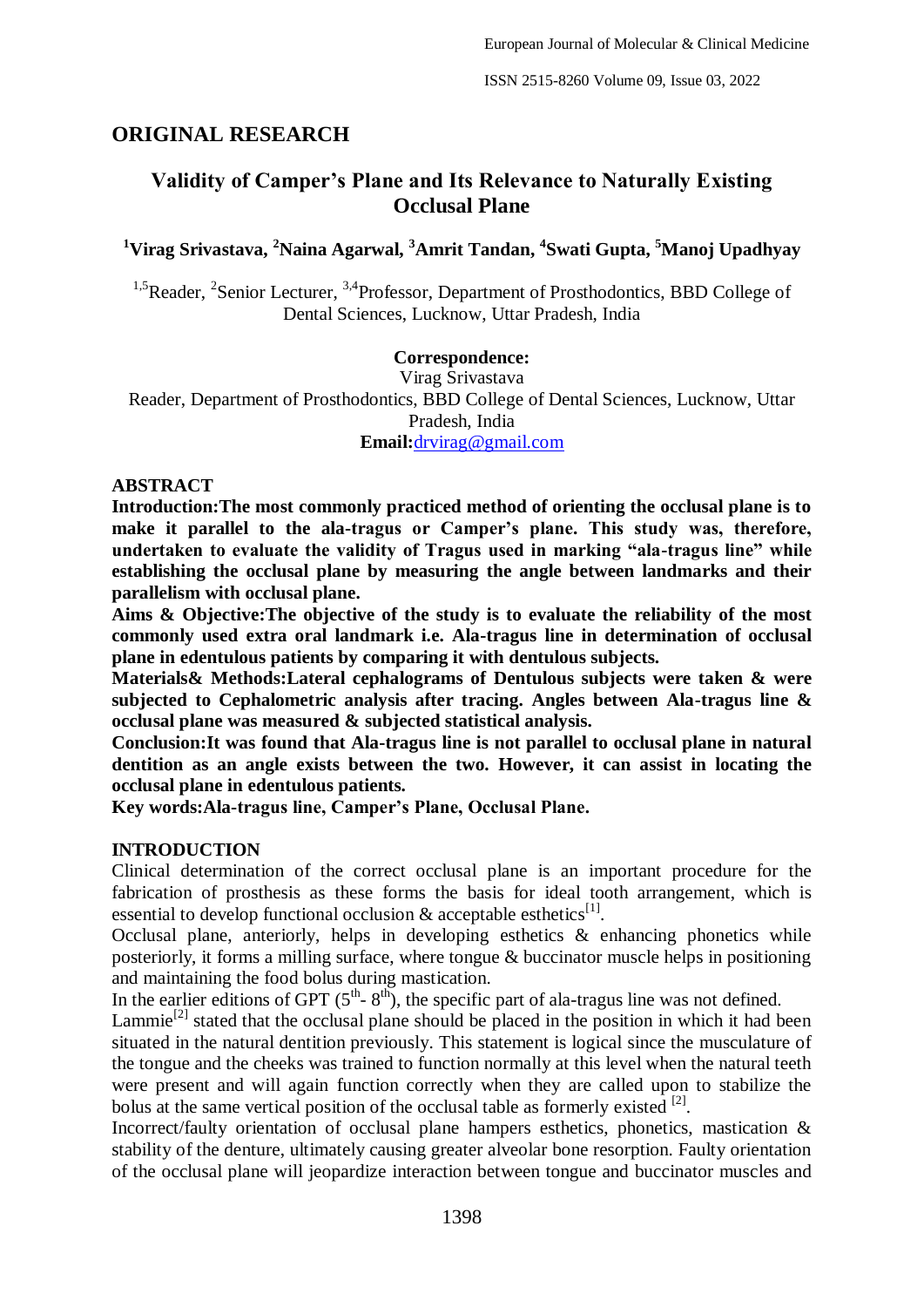ISSN 2515-8260 Volume 09, Issue 03, 2022

## **ORIGINAL RESEARCH**

# **Validity of Camper's Plane and Its Relevance to Naturally Existing Occlusal Plane**

## **<sup>1</sup>Virag Srivastava, <sup>2</sup>Naina Agarwal, <sup>3</sup>Amrit Tandan, <sup>4</sup> Swati Gupta, <sup>5</sup>Manoj Upadhyay**

<sup>1,5</sup>Reader, <sup>2</sup>Senior Lecturer, <sup>3,4</sup>Professor, Department of Prosthodontics, BBD College of Dental Sciences, Lucknow, Uttar Pradesh, India

### **Correspondence:**

Virag Srivastava Reader, Department of Prosthodontics, BBD College of Dental Sciences, Lucknow, Uttar Pradesh, India **Email:**[drvirag@gmail.com](mailto:drvirag@gmail.com)

#### **ABSTRACT**

**Introduction:The most commonly practiced method of orienting the occlusal plane is to make it parallel to the ala-tragus or Camper's plane. This study was, therefore, undertaken to evaluate the validity of Tragus used in marking "ala-tragus line" while establishing the occlusal plane by measuring the angle between landmarks and their parallelism with occlusal plane.**

**Aims & Objective:The objective of the study is to evaluate the reliability of the most commonly used extra oral landmark i.e. Ala-tragus line in determination of occlusal plane in edentulous patients by comparing it with dentulous subjects.**

**Materials& Methods:Lateral cephalograms of Dentulous subjects were taken & were subjected to Cephalometric analysis after tracing. Angles between Ala-tragus line & occlusal plane was measured & subjected statistical analysis.**

**Conclusion:It was found that Ala-tragus line is not parallel to occlusal plane in natural dentition as an angle exists between the two. However, it can assist in locating the occlusal plane in edentulous patients.**

**Key words:Ala-tragus line, Camper's Plane, Occlusal Plane.**

#### **INTRODUCTION**

Clinical determination of the correct occlusal plane is an important procedure for the fabrication of prosthesis as these forms the basis for ideal tooth arrangement, which is essential to develop functional occlusion  $\&$  acceptable esthetics<sup>[1]</sup>.

Occlusal plane, anteriorly, helps in developing esthetics & enhancing phonetics while posteriorly, it forms a milling surface, where tongue & buccinator muscle helps in positioning and maintaining the food bolus during mastication.

In the earlier editions of GPT  $(5<sup>th</sup> - 8<sup>th</sup>)$ , the specific part of ala-tragus line was not defined.

Lammie<sup>[2]</sup> stated that the occlusal plane should be placed in the position in which it had been situated in the natural dentition previously. This statement is logical since the musculature of the tongue and the cheeks was trained to function normally at this level when the natural teeth were present and will again function correctly when they are called upon to stabilize the bolus at the same vertical position of the occlusal table as formerly existed  $^{[2]}$ .

Incorrect/faulty orientation of occlusal plane hampers esthetics, phonetics, mastication & stability of the denture, ultimately causing greater alveolar bone resorption. Faulty orientation of the occlusal plane will jeopardize interaction between tongue and buccinator muscles and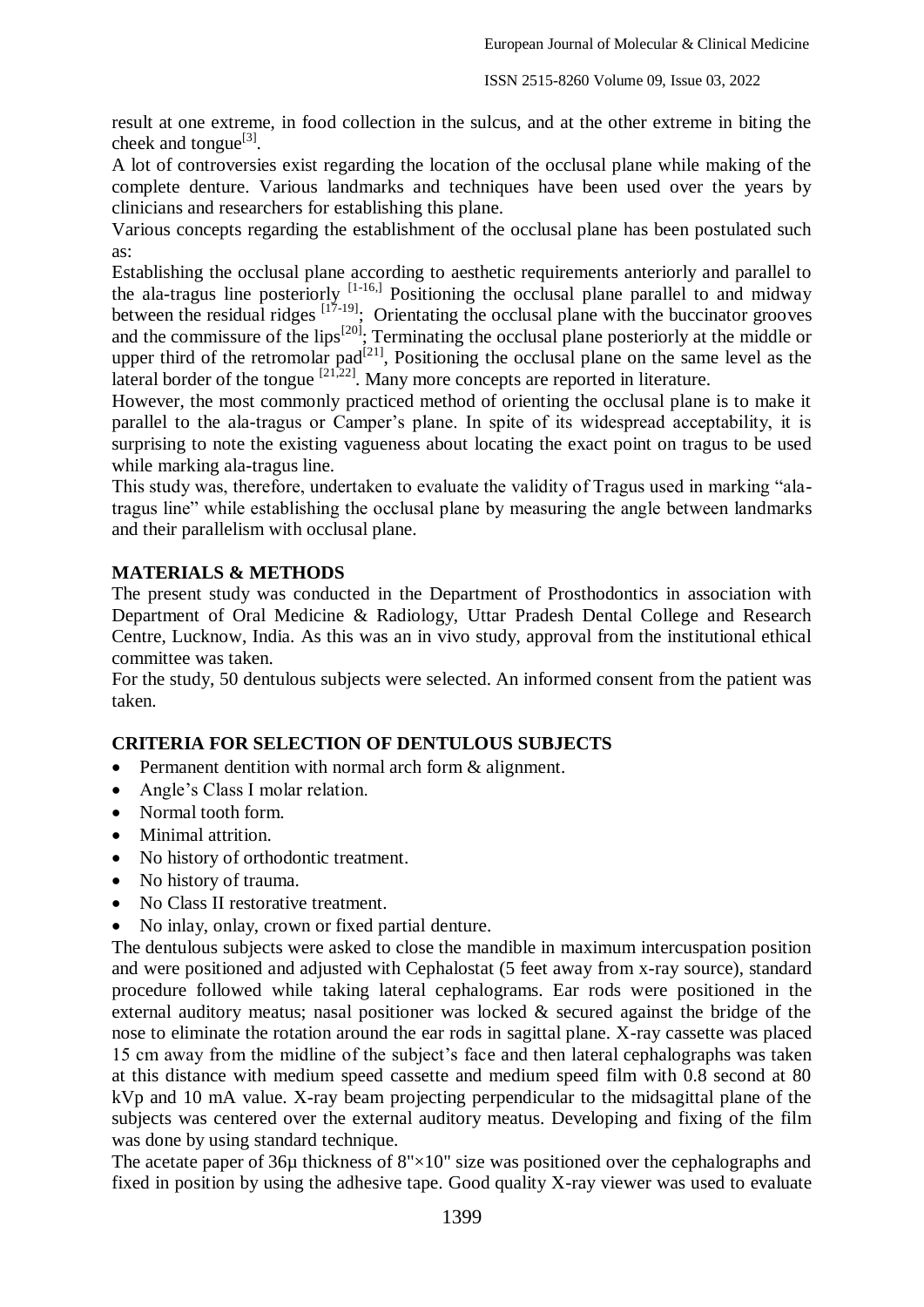result at one extreme, in food collection in the sulcus, and at the other extreme in biting the cheek and tongue $^{[3]}$ .

A lot of controversies exist regarding the location of the occlusal plane while making of the complete denture. Various landmarks and techniques have been used over the years by clinicians and researchers for establishing this plane.

Various concepts regarding the establishment of the occlusal plane has been postulated such as:

Establishing the occlusal plane according to aesthetic requirements anteriorly and parallel to the ala-tragus line posteriorly  $[1-16,1]$  Positioning the occlusal plane parallel to and midway between the residual ridges  $\left[17-19\right]$ ; Orientating the occlusal plane with the buccinator grooves and the commissure of the lips<sup>[20]</sup>; Terminating the occlusal plane posteriorly at the middle or upper third of the retromolar pad<sup>[21]</sup>, Positioning the occlusal plane on the same level as the lateral border of the tongue  $\left[21,22\right]$ . Many more concepts are reported in literature.

However, the most commonly practiced method of orienting the occlusal plane is to make it parallel to the ala-tragus or Camper's plane. In spite of its widespread acceptability, it is surprising to note the existing vagueness about locating the exact point on tragus to be used while marking ala-tragus line.

This study was, therefore, undertaken to evaluate the validity of Tragus used in marking "alatragus line" while establishing the occlusal plane by measuring the angle between landmarks and their parallelism with occlusal plane.

### **MATERIALS & METHODS**

The present study was conducted in the Department of Prosthodontics in association with Department of Oral Medicine & Radiology, Uttar Pradesh Dental College and Research Centre, Lucknow, India. As this was an in vivo study, approval from the institutional ethical committee was taken.

For the study, 50 dentulous subjects were selected. An informed consent from the patient was taken.

#### **CRITERIA FOR SELECTION OF DENTULOUS SUBJECTS**

- Permanent dentition with normal arch form & alignment.
- Angle's Class I molar relation.
- Normal tooth form.
- Minimal attrition.
- No history of orthodontic treatment.
- No history of trauma.
- No Class II restorative treatment.
- No inlay, onlay, crown or fixed partial denture.

The dentulous subjects were asked to close the mandible in maximum intercuspation position and were positioned and adjusted with Cephalostat (5 feet away from x-ray source), standard procedure followed while taking lateral cephalograms. Ear rods were positioned in the external auditory meatus; nasal positioner was locked & secured against the bridge of the nose to eliminate the rotation around the ear rods in sagittal plane. X-ray cassette was placed 15 cm away from the midline of the subject's face and then lateral cephalographs was taken at this distance with medium speed cassette and medium speed film with 0.8 second at 80 kVp and 10 mA value. X-ray beam projecting perpendicular to the midsagittal plane of the subjects was centered over the external auditory meatus. Developing and fixing of the film was done by using standard technique.

The acetate paper of  $36\mu$  thickness of  $8" \times 10"$  size was positioned over the cephalographs and fixed in position by using the adhesive tape. Good quality X-ray viewer was used to evaluate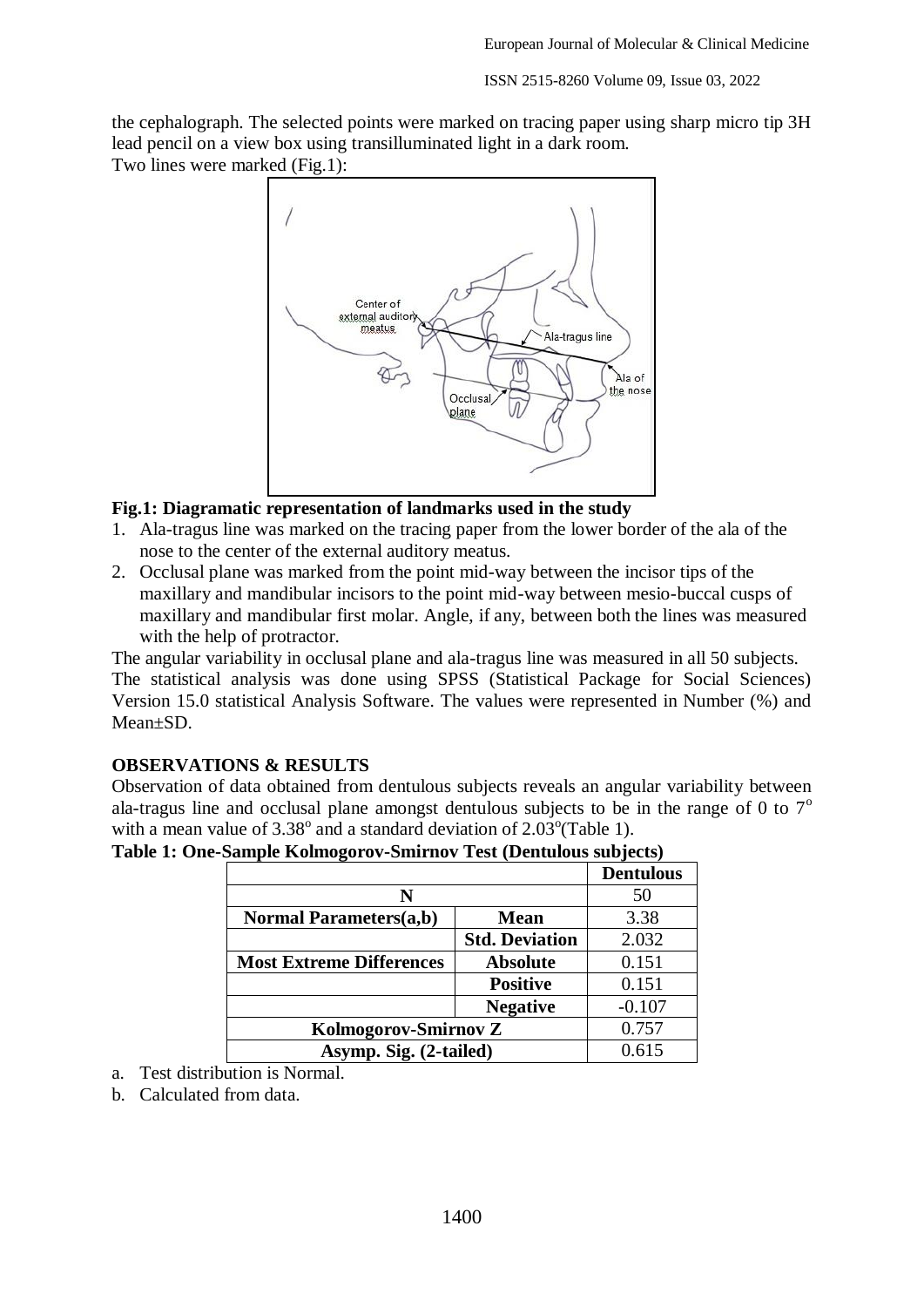the cephalograph. The selected points were marked on tracing paper using sharp micro tip 3H lead pencil on a view box using transilluminated light in a dark room. Two lines were marked (Fig.1):



#### **Fig.1: Diagramatic representation of landmarks used in the study**

- 1. Ala-tragus line was marked on the tracing paper from the lower border of the ala of the nose to the center of the external auditory meatus.
- 2. Occlusal plane was marked from the point mid-way between the incisor tips of the maxillary and mandibular incisors to the point mid-way between mesio-buccal cusps of maxillary and mandibular first molar. Angle, if any, between both the lines was measured with the help of protractor.

The angular variability in occlusal plane and ala-tragus line was measured in all 50 subjects. The statistical analysis was done using SPSS (Statistical Package for Social Sciences) Version 15.0 statistical Analysis Software. The values were represented in Number (%) and Mean±SD.

### **OBSERVATIONS & RESULTS**

Observation of data obtained from dentulous subjects reveals an angular variability between ala-tragus line and occlusal plane amongst dentulous subjects to be in the range of 0 to  $7^\circ$ with a mean value of  $3.38^{\circ}$  and a standard deviation of  $2.03^{\circ}$ (Table 1).

|                                 |                       | <b>Dentulous</b> |
|---------------------------------|-----------------------|------------------|
| N                               |                       | 50               |
| <b>Normal Parameters(a,b)</b>   | 3.38<br><b>Mean</b>   |                  |
|                                 | <b>Std. Deviation</b> | 2.032            |
| <b>Most Extreme Differences</b> | <b>Absolute</b>       | 0.151            |
|                                 | <b>Positive</b>       | 0.151            |
|                                 | <b>Negative</b>       | $-0.107$         |
| Kolmogorov-Smirnov Z            |                       | 0.757            |
| Asymp. Sig. (2-tailed)          |                       | 0.615            |

**Table 1: One-Sample Kolmogorov-Smirnov Test (Dentulous subjects)**

- a. Test distribution is Normal.
- b. Calculated from data.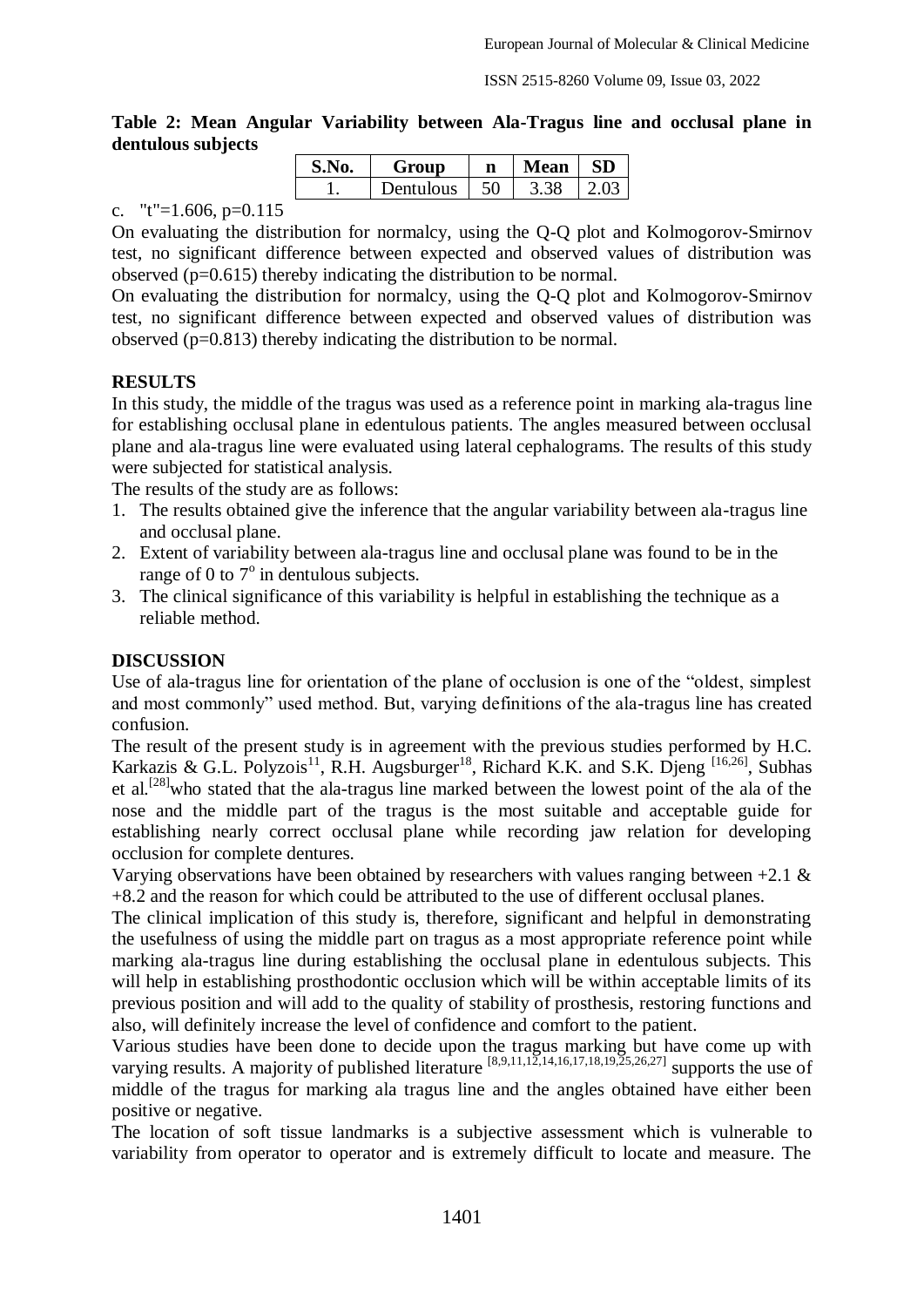**Table 2: Mean Angular Variability between Ala-Tragus line and occlusal plane in dentulous subjects**

| S.No. | Group     | n  | Mean | <b>SD</b> |
|-------|-----------|----|------|-----------|
|       | Dentulous | 50 | 3.38 |           |

c. "t"=1.606,  $p=0.115$ 

On evaluating the distribution for normalcy, using the Q-Q plot and Kolmogorov-Smirnov test, no significant difference between expected and observed values of distribution was observed (p=0.615) thereby indicating the distribution to be normal.

On evaluating the distribution for normalcy, using the Q-Q plot and Kolmogorov-Smirnov test, no significant difference between expected and observed values of distribution was observed (p=0.813) thereby indicating the distribution to be normal.

## **RESULTS**

In this study, the middle of the tragus was used as a reference point in marking ala-tragus line for establishing occlusal plane in edentulous patients. The angles measured between occlusal plane and ala-tragus line were evaluated using lateral cephalograms. The results of this study were subjected for statistical analysis.

The results of the study are as follows:

- 1. The results obtained give the inference that the angular variability between ala-tragus line and occlusal plane.
- 2. Extent of variability between ala-tragus line and occlusal plane was found to be in the range of 0 to  $7^\circ$  in dentulous subjects.
- 3. The clinical significance of this variability is helpful in establishing the technique as a reliable method.

## **DISCUSSION**

Use of ala-tragus line for orientation of the plane of occlusion is one of the "oldest, simplest and most commonly" used method. But, varying definitions of the ala-tragus line has created confusion.

The result of the present study is in agreement with the previous studies performed by H.C. Karkazis & G.L. Polyzois<sup>11</sup>, R.H. Augsburger<sup>18</sup>, Richard K.K. and S.K. Djeng <sup>[16,26]</sup>, Subhas et al.<sup>[28]</sup>who stated that the ala-tragus line marked between the lowest point of the ala of the nose and the middle part of the tragus is the most suitable and acceptable guide for establishing nearly correct occlusal plane while recording jaw relation for developing occlusion for complete dentures.

Varying observations have been obtained by researchers with values ranging between  $+2.1 \&$ +8.2 and the reason for which could be attributed to the use of different occlusal planes.

The clinical implication of this study is, therefore, significant and helpful in demonstrating the usefulness of using the middle part on tragus as a most appropriate reference point while marking ala-tragus line during establishing the occlusal plane in edentulous subjects. This will help in establishing prosthodontic occlusion which will be within acceptable limits of its previous position and will add to the quality of stability of prosthesis, restoring functions and also, will definitely increase the level of confidence and comfort to the patient.

Various studies have been done to decide upon the tragus marking but have come up with varying results. A majority of published literature  $[8,9,11,12,14,16,17,18,19,25,26,27]$  supports the use of middle of the tragus for marking ala tragus line and the angles obtained have either been positive or negative.

The location of soft tissue landmarks is a subjective assessment which is vulnerable to variability from operator to operator and is extremely difficult to locate and measure. The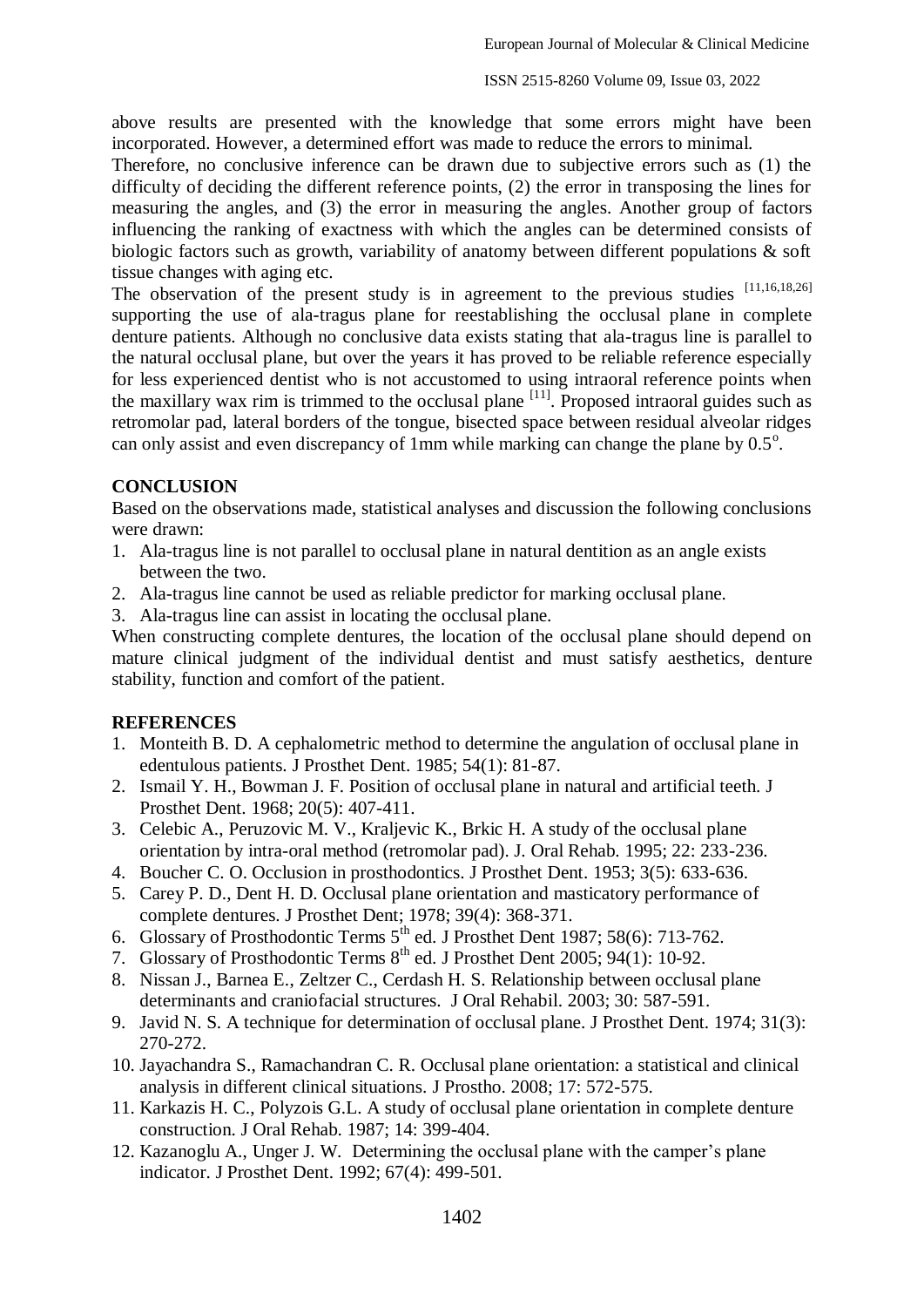above results are presented with the knowledge that some errors might have been incorporated. However, a determined effort was made to reduce the errors to minimal.

Therefore, no conclusive inference can be drawn due to subjective errors such as (1) the difficulty of deciding the different reference points, (2) the error in transposing the lines for measuring the angles, and (3) the error in measuring the angles. Another group of factors influencing the ranking of exactness with which the angles can be determined consists of biologic factors such as growth, variability of anatomy between different populations & soft tissue changes with aging etc.

The observation of the present study is in agreement to the previous studies [11,16,18,26] supporting the use of ala-tragus plane for reestablishing the occlusal plane in complete denture patients. Although no conclusive data exists stating that ala-tragus line is parallel to the natural occlusal plane, but over the years it has proved to be reliable reference especially for less experienced dentist who is not accustomed to using intraoral reference points when the maxillary wax rim is trimmed to the occlusal plane  $\frac{[11]}{[11]}$ . Proposed intraoral guides such as retromolar pad, lateral borders of the tongue, bisected space between residual alveolar ridges can only assist and even discrepancy of 1mm while marking can change the plane by  $0.5^\circ$ .

## **CONCLUSION**

Based on the observations made, statistical analyses and discussion the following conclusions were drawn:

- 1. Ala-tragus line is not parallel to occlusal plane in natural dentition as an angle exists between the two.
- 2. Ala-tragus line cannot be used as reliable predictor for marking occlusal plane.
- 3. Ala-tragus line can assist in locating the occlusal plane.

When constructing complete dentures, the location of the occlusal plane should depend on mature clinical judgment of the individual dentist and must satisfy aesthetics, denture stability, function and comfort of the patient.

## **REFERENCES**

- 1. Monteith B. D. A cephalometric method to determine the angulation of occlusal plane in edentulous patients. J Prosthet Dent. 1985; 54(1): 81-87.
- 2. Ismail Y. H., Bowman J. F. Position of occlusal plane in natural and artificial teeth. J Prosthet Dent. 1968; 20(5): 407-411.
- 3. Celebic A., Peruzovic M. V., Kraljevic K., Brkic H. A study of the occlusal plane orientation by intra-oral method (retromolar pad). J. Oral Rehab. 1995; 22: 233-236.
- 4. Boucher C. O. Occlusion in prosthodontics. J Prosthet Dent. 1953; 3(5): 633-636.
- 5. Carey P. D., Dent H. D. Occlusal plane orientation and masticatory performance of complete dentures. J Prosthet Dent; 1978; 39(4): 368-371.
- 6. Glossary of Prosthodontic Terms 5<sup>th</sup> ed. J Prosthet Dent 1987; 58(6): 713-762.
- 7. Glossary of Prosthodontic Terms 8<sup>th</sup> ed. J Prosthet Dent 2005; 94(1): 10-92.
- 8. Nissan J., Barnea E., Zeltzer C., Cerdash H. S. Relationship between occlusal plane determinants and craniofacial structures. J Oral Rehabil. 2003; 30: 587-591.
- 9. Javid N. S. A technique for determination of occlusal plane. J Prosthet Dent. 1974; 31(3): 270-272.
- 10. Jayachandra S., Ramachandran C. R. Occlusal plane orientation: a statistical and clinical analysis in different clinical situations. J Prostho. 2008; 17: 572-575.
- 11. Karkazis H. C., Polyzois G.L. A study of occlusal plane orientation in complete denture construction. J Oral Rehab. 1987; 14: 399-404.
- 12. Kazanoglu A., Unger J. W. Determining the occlusal plane with the camper's plane indicator. J Prosthet Dent. 1992; 67(4): 499-501.